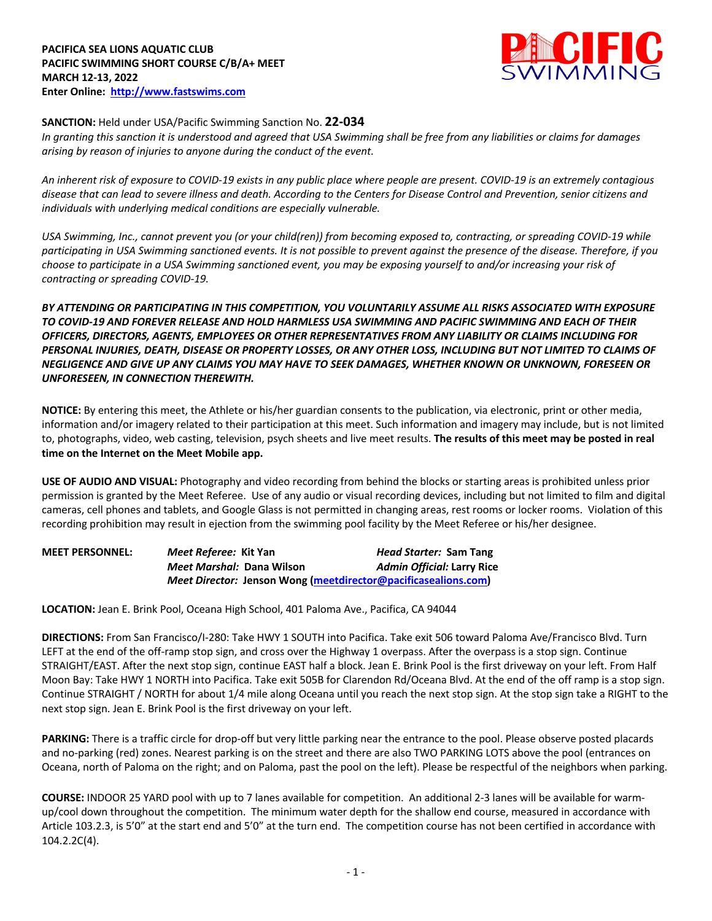

## **SANCTION:** Held under USA/Pacific Swimming Sanction No. **22-034**

*In granting this sanction it is understood and agreed that USA Swimming shall be free from any liabilities or claims for damages arising by reason of injuries to anyone during the conduct of the event.* 

*An inherent risk of exposure to COVID-19 exists in any public place where people are present. COVID-19 is an extremely contagious disease that can lead to severe illness and death. According to the Centers for Disease Control and Prevention, senior citizens and individuals with underlying medical conditions are especially vulnerable.*

*USA Swimming, Inc., cannot prevent you (or your child(ren)) from becoming exposed to, contracting, or spreading COVID-19 while participating in USA Swimming sanctioned events. It is not possible to prevent against the presence of the disease. Therefore, if you choose to participate in a USA Swimming sanctioned event, you may be exposing yourself to and/or increasing your risk of contracting or spreading COVID-19.*

*BY ATTENDING OR PARTICIPATING IN THIS COMPETITION, YOU VOLUNTARILY ASSUME ALL RISKS ASSOCIATED WITH EXPOSURE TO COVID-19 AND FOREVER RELEASE AND HOLD HARMLESS USA SWIMMING AND PACIFIC SWIMMING AND EACH OF THEIR OFFICERS, DIRECTORS, AGENTS, EMPLOYEES OR OTHER REPRESENTATIVES FROM ANY LIABILITY OR CLAIMS INCLUDING FOR PERSONAL INJURIES, DEATH, DISEASE OR PROPERTY LOSSES, OR ANY OTHER LOSS, INCLUDING BUT NOT LIMITED TO CLAIMS OF NEGLIGENCE AND GIVE UP ANY CLAIMS YOU MAY HAVE TO SEEK DAMAGES, WHETHER KNOWN OR UNKNOWN, FORESEEN OR UNFORESEEN, IN CONNECTION THEREWITH.*

**NOTICE:** By entering this meet, the Athlete or his/her guardian consents to the publication, via electronic, print or other media, information and/or imagery related to their participation at this meet. Such information and imagery may include, but is not limited to, photographs, video, web casting, television, psych sheets and live meet results. **The results of this meet may be posted in real time on the Internet on the Meet Mobile app.** 

**USE OF AUDIO AND VISUAL:** Photography and video recording from behind the blocks or starting areas is prohibited unless prior permission is granted by the Meet Referee. Use of any audio or visual recording devices, including but not limited to film and digital cameras, cell phones and tablets, and Google Glass is not permitted in changing areas, rest rooms or locker rooms. Violation of this recording prohibition may result in ejection from the swimming pool facility by the Meet Referee or his/her designee.

| <b>MEET PERSONNEL:</b> | Meet Referee: Kit Yan                                          | Head Starter: Sam Tang            |
|------------------------|----------------------------------------------------------------|-----------------------------------|
|                        | <i>Meet Marshal: Dana Wilson</i>                               | <b>Admin Official: Larry Rice</b> |
|                        | Meet Director: Jenson Wong (meetdirector@pacificasealions.com) |                                   |

**LOCATION:** Jean E. Brink Pool, Oceana High School, 401 Paloma Ave., Pacifica, CA 94044

**DIRECTIONS:** From San Francisco/I-280: Take HWY 1 SOUTH into Pacifica. Take exit 506 toward Paloma Ave/Francisco Blvd. Turn LEFT at the end of the off-ramp stop sign, and cross over the Highway 1 overpass. After the overpass is a stop sign. Continue STRAIGHT/EAST. After the next stop sign, continue EAST half a block. Jean E. Brink Pool is the first driveway on your left. From Half Moon Bay: Take HWY 1 NORTH into Pacifica. Take exit 505B for Clarendon Rd/Oceana Blvd. At the end of the off ramp is a stop sign. Continue STRAIGHT / NORTH for about 1/4 mile along Oceana until you reach the next stop sign. At the stop sign take a RIGHT to the next stop sign. Jean E. Brink Pool is the first driveway on your left.

**PARKING:** There is a traffic circle for drop-off but very little parking near the entrance to the pool. Please observe posted placards and no-parking (red) zones. Nearest parking is on the street and there are also TWO PARKING LOTS above the pool (entrances on Oceana, north of Paloma on the right; and on Paloma, past the pool on the left). Please be respectful of the neighbors when parking.

**COURSE:** INDOOR 25 YARD pool with up to 7 lanes available for competition. An additional 2-3 lanes will be available for warmup/cool down throughout the competition. The minimum water depth for the shallow end course, measured in accordance with Article 103.2.3, is 5'0" at the start end and 5'0" at the turn end. The competition course has not been certified in accordance with 104.2.2C(4).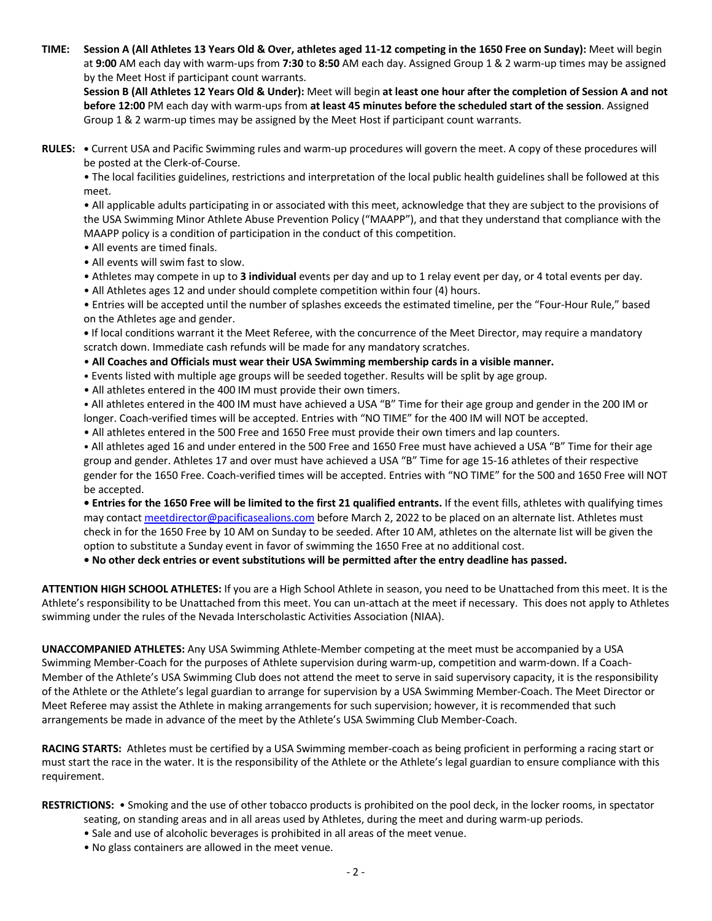**TIME: Session A (All Athletes 13 Years Old & Over, athletes aged 11-12 competing in the 1650 Free on Sunday):** Meet will begin at **9:00** AM each day with warm-ups from **7:30** to **8:50** AM each day. Assigned Group 1 & 2 warm-up times may be assigned by the Meet Host if participant count warrants.

**Session B (All Athletes 12 Years Old & Under):** Meet will begin **at least one hour after the completion of Session A and not before 12:00** PM each day with warm-ups from **at least 45 minutes before the scheduled start of the session**. Assigned Group 1 & 2 warm-up times may be assigned by the Meet Host if participant count warrants.

**RULES: •** Current USA and Pacific Swimming rules and warm-up procedures will govern the meet. A copy of these procedures will be posted at the Clerk-of-Course.

• The local facilities guidelines, restrictions and interpretation of the local public health guidelines shall be followed at this meet.

• All applicable adults participating in or associated with this meet, acknowledge that they are subject to the provisions of the USA Swimming Minor Athlete Abuse Prevention Policy ("MAAPP"), and that they understand that compliance with the MAAPP policy is a condition of participation in the conduct of this competition.

- All events are timed finals.
- All events will swim fast to slow.
- Athletes may compete in up to **3 individual** events per day and up to 1 relay event per day, or 4 total events per day.
- All Athletes ages 12 and under should complete competition within four (4) hours.

• Entries will be accepted until the number of splashes exceeds the estimated timeline, per the "Four-Hour Rule," based on the Athletes age and gender.

**•** If local conditions warrant it the Meet Referee, with the concurrence of the Meet Director, may require a mandatory scratch down. Immediate cash refunds will be made for any mandatory scratches.

- **All Coaches and Officials must wear their USA Swimming membership cards in a visible manner.**
- Events listed with multiple age groups will be seeded together. Results will be split by age group.
- All athletes entered in the 400 IM must provide their own timers.

• All athletes entered in the 400 IM must have achieved a USA "B" Time for their age group and gender in the 200 IM or longer. Coach-verified times will be accepted. Entries with "NO TIME" for the 400 IM will NOT be accepted.

• All athletes entered in the 500 Free and 1650 Free must provide their own timers and lap counters.

• All athletes aged 16 and under entered in the 500 Free and 1650 Free must have achieved a USA "B" Time for their age group and gender. Athletes 17 and over must have achieved a USA "B" Time for age 15-16 athletes of their respective gender for the 1650 Free. Coach-verified times will be accepted. Entries with "NO TIME" for the 500 and 1650 Free will NOT be accepted.

**• Entries for the 1650 Free will be limited to the first 21 qualified entrants.** If the event fills, athletes with qualifying times may contact meetdirector@pacificasealions.com before March 2, 2022 to be placed on an alternate list. Athletes must check in for the 1650 Free by 10 AM on Sunday to be seeded. After 10 AM, athletes on the alternate list will be given the option to substitute a Sunday event in favor of swimming the 1650 Free at no additional cost.

**• No other deck entries or event substitutions will be permitted after the entry deadline has passed.**

**ATTENTION HIGH SCHOOL ATHLETES:** If you are a High School Athlete in season, you need to be Unattached from this meet. It is the Athlete's responsibility to be Unattached from this meet. You can un-attach at the meet if necessary. This does not apply to Athletes swimming under the rules of the Nevada Interscholastic Activities Association (NIAA).

**UNACCOMPANIED ATHLETES:** Any USA Swimming Athlete-Member competing at the meet must be accompanied by a USA Swimming Member-Coach for the purposes of Athlete supervision during warm-up, competition and warm-down. If a Coach-Member of the Athlete's USA Swimming Club does not attend the meet to serve in said supervisory capacity, it is the responsibility of the Athlete or the Athlete's legal guardian to arrange for supervision by a USA Swimming Member-Coach. The Meet Director or Meet Referee may assist the Athlete in making arrangements for such supervision; however, it is recommended that such arrangements be made in advance of the meet by the Athlete's USA Swimming Club Member-Coach.

**RACING STARTS:** Athletes must be certified by a USA Swimming member-coach as being proficient in performing a racing start or must start the race in the water. It is the responsibility of the Athlete or the Athlete's legal guardian to ensure compliance with this requirement.

**RESTRICTIONS:** • Smoking and the use of other tobacco products is prohibited on the pool deck, in the locker rooms, in spectator

- seating, on standing areas and in all areas used by Athletes, during the meet and during warm-up periods.
- Sale and use of alcoholic beverages is prohibited in all areas of the meet venue.
- No glass containers are allowed in the meet venue.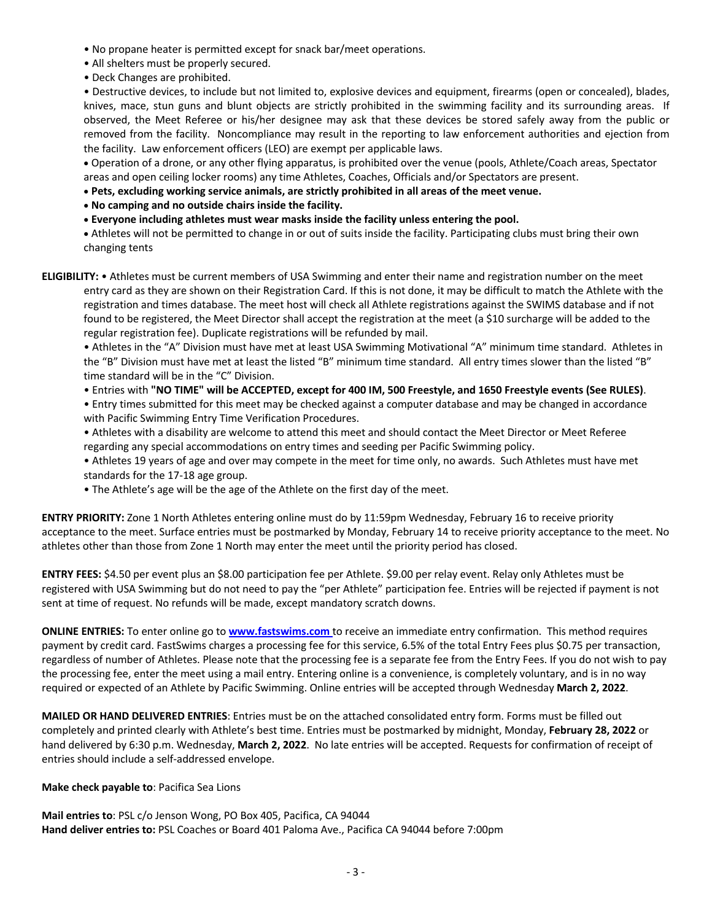- No propane heater is permitted except for snack bar/meet operations.
- All shelters must be properly secured.
- Deck Changes are prohibited.

• Destructive devices, to include but not limited to, explosive devices and equipment, firearms (open or concealed), blades, knives, mace, stun guns and blunt objects are strictly prohibited in the swimming facility and its surrounding areas. If observed, the Meet Referee or his/her designee may ask that these devices be stored safely away from the public or removed from the facility. Noncompliance may result in the reporting to law enforcement authorities and ejection from the facility. Law enforcement officers (LEO) are exempt per applicable laws.

• Operation of a drone, or any other flying apparatus, is prohibited over the venue (pools, Athlete/Coach areas, Spectator areas and open ceiling locker rooms) any time Athletes, Coaches, Officials and/or Spectators are present.

• **Pets, excluding working service animals, are strictly prohibited in all areas of the meet venue.**

- **No camping and no outside chairs inside the facility.**
- **Everyone including athletes must wear masks inside the facility unless entering the pool.**

• Athletes will not be permitted to change in or out of suits inside the facility. Participating clubs must bring their own changing tents

**ELIGIBILITY:** • Athletes must be current members of USA Swimming and enter their name and registration number on the meet entry card as they are shown on their Registration Card. If this is not done, it may be difficult to match the Athlete with the registration and times database. The meet host will check all Athlete registrations against the SWIMS database and if not found to be registered, the Meet Director shall accept the registration at the meet (a \$10 surcharge will be added to the regular registration fee). Duplicate registrations will be refunded by mail.

• Athletes in the "A" Division must have met at least USA Swimming Motivational "A" minimum time standard. Athletes in the "B" Division must have met at least the listed "B" minimum time standard. All entry times slower than the listed "B" time standard will be in the "C" Division.

• Entries with **"NO TIME" will be ACCEPTED, except for 400 IM, 500 Freestyle, and 1650 Freestyle events (See RULES)**.

• Entry times submitted for this meet may be checked against a computer database and may be changed in accordance with Pacific Swimming Entry Time Verification Procedures.

- Athletes with a disability are welcome to attend this meet and should contact the Meet Director or Meet Referee regarding any special accommodations on entry times and seeding per Pacific Swimming policy.
- Athletes 19 years of age and over may compete in the meet for time only, no awards. Such Athletes must have met standards for the 17-18 age group.
- The Athlete's age will be the age of the Athlete on the first day of the meet.

**ENTRY PRIORITY:** Zone 1 North Athletes entering online must do by 11:59pm Wednesday, February 16 to receive priority acceptance to the meet. Surface entries must be postmarked by Monday, February 14 to receive priority acceptance to the meet. No athletes other than those from Zone 1 North may enter the meet until the priority period has closed.

**ENTRY FEES:** \$4.50 per event plus an \$8.00 participation fee per Athlete. \$9.00 per relay event. Relay only Athletes must be registered with USA Swimming but do not need to pay the "per Athlete" participation fee. Entries will be rejected if payment is not sent at time of request. No refunds will be made, except mandatory scratch downs.

**ONLINE ENTRIES:** To enter online go to **www.fastswims.com** to receive an immediate entry confirmation. This method requires payment by credit card. FastSwims charges a processing fee for this service, 6.5% of the total Entry Fees plus \$0.75 per transaction, regardless of number of Athletes. Please note that the processing fee is a separate fee from the Entry Fees. If you do not wish to pay the processing fee, enter the meet using a mail entry. Entering online is a convenience, is completely voluntary, and is in no way required or expected of an Athlete by Pacific Swimming. Online entries will be accepted through Wednesday **March 2, 2022**.

**MAILED OR HAND DELIVERED ENTRIES**: Entries must be on the attached consolidated entry form. Forms must be filled out completely and printed clearly with Athlete's best time. Entries must be postmarked by midnight, Monday, **February 28, 2022** or hand delivered by 6:30 p.m. Wednesday, **March 2, 2022**. No late entries will be accepted. Requests for confirmation of receipt of entries should include a self-addressed envelope.

## **Make check payable to**: Pacifica Sea Lions

**Mail entries to**: PSL c/o Jenson Wong, PO Box 405, Pacifica, CA 94044 **Hand deliver entries to:** PSL Coaches or Board 401 Paloma Ave., Pacifica CA 94044 before 7:00pm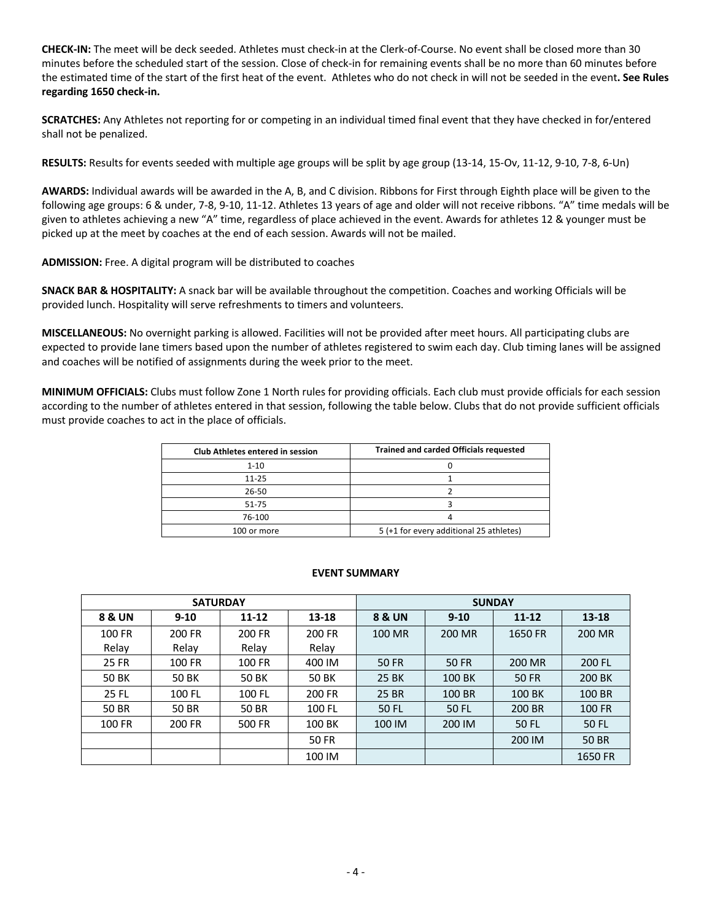**CHECK-IN:** The meet will be deck seeded. Athletes must check-in at the Clerk-of-Course. No event shall be closed more than 30 minutes before the scheduled start of the session. Close of check-in for remaining events shall be no more than 60 minutes before the estimated time of the start of the first heat of the event. Athletes who do not check in will not be seeded in the event**. See Rules regarding 1650 check-in.**

**SCRATCHES:** Any Athletes not reporting for or competing in an individual timed final event that they have checked in for/entered shall not be penalized.

**RESULTS:** Results for events seeded with multiple age groups will be split by age group (13-14, 15-Ov, 11-12, 9-10, 7-8, 6-Un)

**AWARDS:** Individual awards will be awarded in the A, B, and C division. Ribbons for First through Eighth place will be given to the following age groups: 6 & under, 7-8, 9-10, 11-12. Athletes 13 years of age and older will not receive ribbons. "A" time medals will be given to athletes achieving a new "A" time, regardless of place achieved in the event. Awards for athletes 12 & younger must be picked up at the meet by coaches at the end of each session. Awards will not be mailed.

**ADMISSION:** Free. A digital program will be distributed to coaches

**SNACK BAR & HOSPITALITY:** A snack bar will be available throughout the competition. Coaches and working Officials will be provided lunch. Hospitality will serve refreshments to timers and volunteers.

**MISCELLANEOUS:** No overnight parking is allowed. Facilities will not be provided after meet hours. All participating clubs are expected to provide lane timers based upon the number of athletes registered to swim each day. Club timing lanes will be assigned and coaches will be notified of assignments during the week prior to the meet.

**MINIMUM OFFICIALS:** Clubs must follow Zone 1 North rules for providing officials. Each club must provide officials for each session according to the number of athletes entered in that session, following the table below. Clubs that do not provide sufficient officials must provide coaches to act in the place of officials.

| <b>Club Athletes entered in session</b> | <b>Trained and carded Officials requested</b> |  |  |  |  |  |
|-----------------------------------------|-----------------------------------------------|--|--|--|--|--|
| 1-10                                    |                                               |  |  |  |  |  |
| $11 - 25$                               |                                               |  |  |  |  |  |
| 26-50                                   |                                               |  |  |  |  |  |
| 51-75                                   |                                               |  |  |  |  |  |
| 76-100                                  |                                               |  |  |  |  |  |
| 100 or more                             | 5 (+1 for every additional 25 athletes)       |  |  |  |  |  |

## **EVENT SUMMARY**

|              | <b>SATURDAY</b> |           |              | <b>SUNDAY</b>     |          |           |              |  |  |
|--------------|-----------------|-----------|--------------|-------------------|----------|-----------|--------------|--|--|
| 8 & UN       | $9 - 10$        | $11 - 12$ | $13 - 18$    | <b>8 &amp; UN</b> | $9 - 10$ | $11 - 12$ | $13 - 18$    |  |  |
| 100 FR       | 200 FR          | 200 FR    | 200 FR       | 100 MR            | 200 MR   | 1650 FR   | 200 MR       |  |  |
| Relay        | Relay           | Relay     | Relay        |                   |          |           |              |  |  |
| <b>25 FR</b> | 100 FR          | 100 FR    | 400 IM       | 50 FR             | 50 FR    | 200 MR    | 200 FL       |  |  |
| 50 BK        | 50 BK           | 50 BK     | 50 BK        | 25 BK             | 100 BK   | 50 FR     | 200 BK       |  |  |
| 25 FL        | 100 FL          | 100 FL    | 200 FR       | 25 BR             | 100 BR   | 100 BK    | 100 BR       |  |  |
| 50 BR        | 50 BR           | 50 BR     | 100 FL       | 50 FL             | 50 FL    | 200 BR    | 100 FR       |  |  |
| 100 FR       | 200 FR          | 500 FR    | 100 BK       | 100 IM            | 200 IM   | 50 FL     | 50 FL        |  |  |
|              |                 |           | <b>50 FR</b> |                   |          | 200 IM    | <b>50 BR</b> |  |  |
|              |                 |           | 100 IM       |                   |          |           | 1650 FR      |  |  |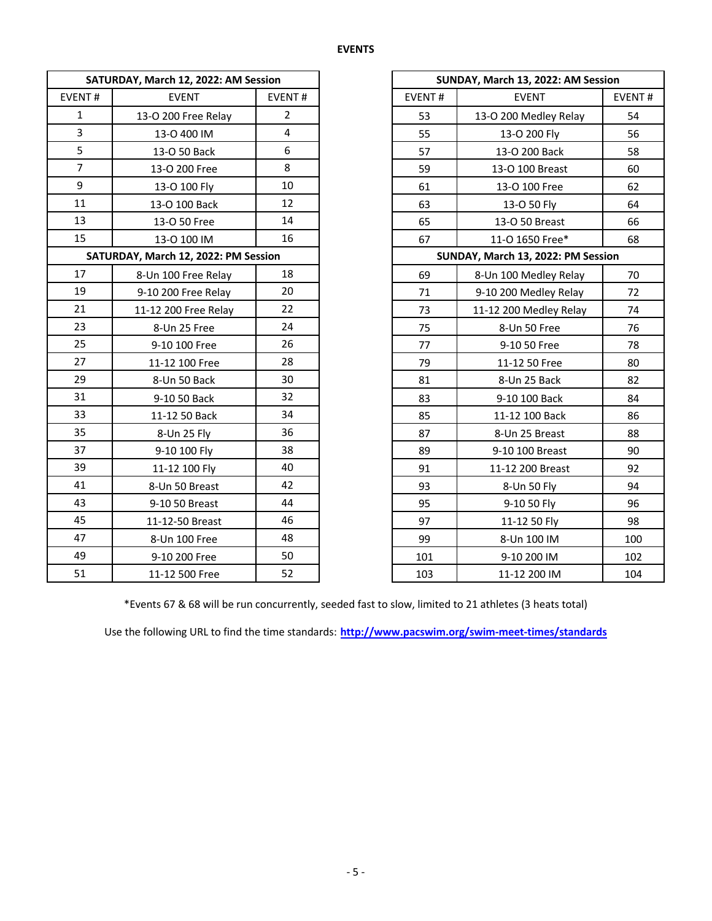|                | SATURDAY, March 12, 2022: AM Session |                |        | SUNDAY, March 13, 2022: AM Session |   |
|----------------|--------------------------------------|----------------|--------|------------------------------------|---|
| EVENT#         | <b>EVENT</b>                         | EVENT#         | EVENT# | <b>EVENT</b>                       | Е |
| $\mathbf{1}$   | 13-O 200 Free Relay                  | $\overline{2}$ | 53     | 13-O 200 Medley Relay              |   |
| $\overline{3}$ | 13-0 400 IM                          | $\overline{4}$ | 55     | 13-O 200 Fly                       |   |
| 5              | 13-O 50 Back                         | 6              | 57     | 13-O 200 Back                      |   |
| $\overline{7}$ | 13-O 200 Free                        | 8              | 59     | 13-O 100 Breast                    |   |
| 9              | 13-0 100 Fly                         | 10             | 61     | 13-O 100 Free                      |   |
| 11             | 13-O 100 Back                        | 12             | 63     | 13-O 50 Fly                        |   |
| 13             | 13-O 50 Free                         | 14             | 65     | 13-O 50 Breast                     |   |
| 15             | 13-O 100 IM                          | 16             | 67     | 11-0 1650 Free*                    |   |
|                | SATURDAY, March 12, 2022: PM Session |                |        | SUNDAY, March 13, 2022: PM Session |   |
| 17             | 8-Un 100 Free Relay                  | 18             | 69     | 8-Un 100 Medley Relay              |   |
| 19             | 9-10 200 Free Relay                  | 20             | 71     | 9-10 200 Medley Relay              |   |
| 21             | 11-12 200 Free Relay                 | 22             | 73     | 11-12 200 Medley Relay             |   |
| 23             | 8-Un 25 Free                         | 24             | 75     | 8-Un 50 Free                       |   |
| 25             | 9-10 100 Free                        | 26             | 77     | 9-10 50 Free                       |   |
| 27             | 11-12 100 Free                       | 28             | 79     | 11-12 50 Free                      |   |
| 29             | 8-Un 50 Back                         | 30             | 81     | 8-Un 25 Back                       |   |
| 31             | 9-10 50 Back                         | 32             | 83     | 9-10 100 Back                      |   |
| 33             | 11-12 50 Back                        | 34             | 85     | 11-12 100 Back                     |   |
| 35             | 8-Un 25 Fly                          | 36             | 87     | 8-Un 25 Breast                     |   |
| 37             | 9-10 100 Fly                         | 38             | 89     | 9-10 100 Breast                    |   |
| 39             | 11-12 100 Fly                        | 40             | 91     | 11-12 200 Breast                   |   |
| 41             | 8-Un 50 Breast                       | 42             | 93     | 8-Un 50 Fly                        |   |
| 43             | 9-10 50 Breast                       | 44             | 95     | 9-10 50 Fly                        |   |
| 45             | 11-12-50 Breast                      | 46             | 97     | 11-12 50 Fly                       |   |
| 47             | 8-Un 100 Free                        | 48             | 99     | 8-Un 100 IM                        |   |
| 49             | 9-10 200 Free                        | 50             | 101    | 9-10 200 IM                        |   |
| 51             | 11-12 500 Free                       | 52             | 103    | 11-12 200 IM                       |   |

|                | SATURDAY, March 12, 2022: AM Session |                |               | SUNDAY, March 13, 2022: AM Session |     |  |
|----------------|--------------------------------------|----------------|---------------|------------------------------------|-----|--|
| EVENT#         | <b>EVENT</b>                         | EVENT#         | <b>EVENT#</b> | EVENT#<br><b>EVENT</b>             |     |  |
| $\mathbf 1$    | 13-O 200 Free Relay                  | $\overline{2}$ | 53            | 13-O 200 Medley Relay              | 54  |  |
| $\overline{3}$ | 13-O 400 IM                          | 4              | 55            | 13-O 200 Fly                       | 56  |  |
| 5              | 13-O 50 Back                         | 6              | 57            | 13-O 200 Back                      | 58  |  |
| $\overline{7}$ | 13-O 200 Free                        | 8              | 59            | 13-O 100 Breast                    | 60  |  |
| 9              | 13-O 100 Fly                         | 10             | 61            | 13-O 100 Free                      | 62  |  |
| 11             | 13-O 100 Back                        | 12             | 63            | 13-O 50 Fly                        | 64  |  |
| 13             | 13-O 50 Free                         | 14             | 65            | 13-O 50 Breast                     | 66  |  |
| 15             | 13-O 100 IM                          | 16             | 67            | 11-O 1650 Free*                    | 68  |  |
|                | SATURDAY, March 12, 2022: PM Session |                |               | SUNDAY, March 13, 2022: PM Session |     |  |
| 17             | 8-Un 100 Free Relay                  | 18             | 69            | 8-Un 100 Medley Relay              | 70  |  |
| 19             | 9-10 200 Free Relay                  | 20             | 71            | 9-10 200 Medley Relay              | 72  |  |
| 21             | 11-12 200 Free Relay                 | 22             | 73            | 11-12 200 Medley Relay             | 74  |  |
| 23             | 8-Un 25 Free                         | 24             | 75            | 8-Un 50 Free                       | 76  |  |
| 25             | 9-10 100 Free                        | 26             | 77            | 9-10 50 Free                       | 78  |  |
| 27             | 11-12 100 Free                       | 28             | 79            | 11-12 50 Free                      | 80  |  |
| 29             | 8-Un 50 Back                         | 30             | 81            | 8-Un 25 Back                       | 82  |  |
| 31             | 9-10 50 Back                         | 32             | 83            | 9-10 100 Back                      | 84  |  |
| 33             | 11-12 50 Back                        | 34             | 85            | 11-12 100 Back                     | 86  |  |
| 35             | 8-Un 25 Fly                          | 36             | 87            | 8-Un 25 Breast                     | 88  |  |
| 37             | 9-10 100 Fly                         | 38             | 89            | 9-10 100 Breast                    | 90  |  |
| 39             | 11-12 100 Fly                        | 40             | 91            | 11-12 200 Breast                   | 92  |  |
| 41             | 8-Un 50 Breast                       | 42             | 93            | 8-Un 50 Fly                        | 94  |  |
| 43             | 9-10 50 Breast                       | 44             | 95            | 9-10 50 Fly                        | 96  |  |
| 45             | 11-12-50 Breast                      | 46             | 97            | 11-12 50 Fly                       | 98  |  |
| 47             | 8-Un 100 Free                        | 48             | 99            | 8-Un 100 IM                        | 100 |  |
| 49             | 9-10 200 Free                        | 50             | 101           | 9-10 200 IM                        | 102 |  |
| 51             | 11-12 500 Free                       | 52             | 103           | 11-12 200 IM                       | 104 |  |

\*Events 67 & 68 will be run concurrently, seeded fast to slow, limited to 21 athletes (3 heats total)

Use the following URL to find the time standards: **http://www.pacswim.org/swim-meet-times/standards**